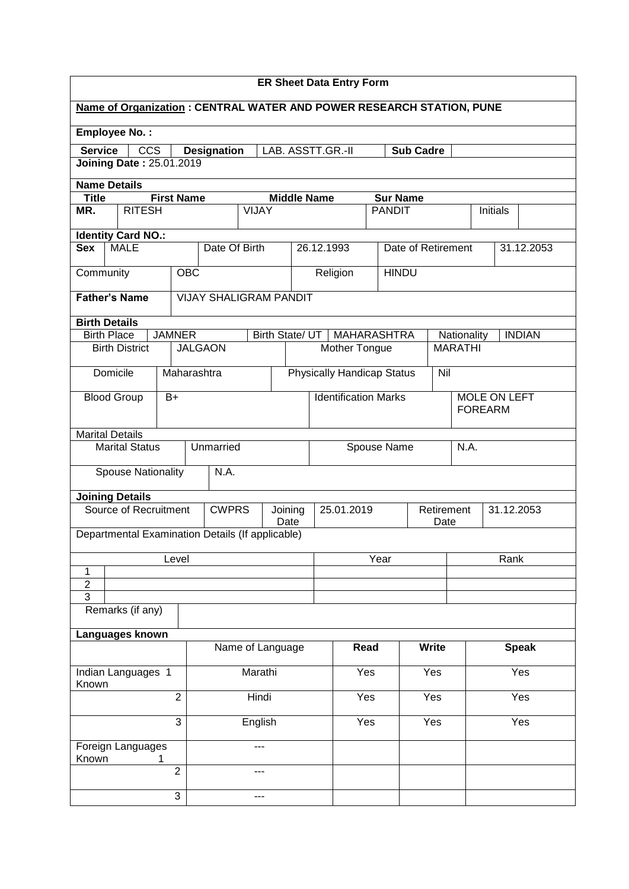| <b>ER Sheet Data Entry Form</b>                                   |                                                                                             |                     |                                                                       |                             |                    |            |                                   |                    |                     |                    |                |      |               |
|-------------------------------------------------------------------|---------------------------------------------------------------------------------------------|---------------------|-----------------------------------------------------------------------|-----------------------------|--------------------|------------|-----------------------------------|--------------------|---------------------|--------------------|----------------|------|---------------|
|                                                                   |                                                                                             |                     | Name of Organization : CENTRAL WATER AND POWER RESEARCH STATION, PUNE |                             |                    |            |                                   |                    |                     |                    |                |      |               |
|                                                                   | <b>Employee No.:</b>                                                                        |                     |                                                                       |                             |                    |            |                                   |                    |                     |                    |                |      |               |
|                                                                   | <b>Service</b><br><b>CCS</b><br><b>Sub Cadre</b><br><b>Designation</b><br>LAB. ASSTT.GR.-II |                     |                                                                       |                             |                    |            |                                   |                    |                     |                    |                |      |               |
| <b>Joining Date: 25.01.2019</b>                                   |                                                                                             |                     |                                                                       |                             |                    |            |                                   |                    |                     |                    |                |      |               |
| <b>Name Details</b>                                               |                                                                                             |                     |                                                                       |                             |                    |            |                                   |                    |                     |                    |                |      |               |
| <b>Title</b>                                                      |                                                                                             | <b>First Name</b>   |                                                                       |                             | <b>Middle Name</b> |            |                                   |                    | <b>Sur Name</b>     |                    |                |      |               |
| MR.<br><b>RITESH</b><br><b>VIJAY</b><br><b>PANDIT</b><br>Initials |                                                                                             |                     |                                                                       |                             |                    |            |                                   |                    |                     |                    |                |      |               |
| <b>Identity Card NO.:</b>                                         |                                                                                             |                     |                                                                       |                             |                    |            |                                   |                    |                     |                    |                |      |               |
| <b>Sex</b>                                                        | <b>MALE</b>                                                                                 |                     | Date Of Birth                                                         |                             |                    | 26.12.1993 |                                   |                    | Date of Retirement  |                    |                |      | 31.12.2053    |
| Community                                                         |                                                                                             |                     | <b>OBC</b>                                                            |                             |                    |            | Religion                          |                    | <b>HINDU</b>        |                    |                |      |               |
|                                                                   | <b>Father's Name</b>                                                                        |                     | <b>VIJAY SHALIGRAM PANDIT</b>                                         |                             |                    |            |                                   |                    |                     |                    |                |      |               |
| <b>Birth Details</b>                                              |                                                                                             |                     |                                                                       |                             |                    |            |                                   |                    |                     |                    |                |      |               |
| <b>Birth Place</b>                                                |                                                                                             | <b>JAMNER</b>       |                                                                       |                             | Birth State/ UT    |            | <b>MAHARASHTRA</b>                |                    |                     |                    | Nationality    |      | <b>INDIAN</b> |
|                                                                   | <b>Birth District</b>                                                                       |                     | <b>JALGAON</b>                                                        |                             |                    |            | Mother Tongue                     |                    |                     |                    | <b>MARATHI</b> |      |               |
|                                                                   | Domicile                                                                                    |                     | Maharashtra                                                           |                             |                    |            | <b>Physically Handicap Status</b> |                    |                     | Nil                |                |      |               |
|                                                                   | <b>Blood Group</b>                                                                          | $B+$                |                                                                       | <b>Identification Marks</b> |                    |            |                                   |                    | <b>MOLE ON LEFT</b> |                    |                |      |               |
|                                                                   |                                                                                             |                     |                                                                       |                             |                    |            |                                   |                    |                     | <b>FOREARM</b>     |                |      |               |
|                                                                   | <b>Marital Details</b>                                                                      |                     |                                                                       |                             |                    |            |                                   |                    |                     |                    |                |      |               |
| Unmarried<br>Marital Status                                       |                                                                                             |                     |                                                                       | Spouse Name                 |                    |            |                                   | N.A.               |                     |                    |                |      |               |
|                                                                   | <b>Spouse Nationality</b>                                                                   |                     | N.A.                                                                  |                             |                    |            |                                   |                    |                     |                    |                |      |               |
|                                                                   | <b>Joining Details</b>                                                                      |                     |                                                                       |                             |                    |            |                                   |                    |                     |                    |                |      |               |
|                                                                   | Source of Recruitment                                                                       |                     | <b>CWPRS</b>                                                          |                             | Joining<br>Date    | 25.01.2019 |                                   |                    |                     | Retirement<br>Date |                |      | 31.12.2053    |
|                                                                   |                                                                                             |                     | Departmental Examination Details (If applicable)                      |                             |                    |            |                                   |                    |                     |                    |                |      |               |
| Level                                                             |                                                                                             |                     |                                                                       |                             |                    |            |                                   | $\overline{Y}$ ear |                     |                    |                | Rank |               |
| 1                                                                 |                                                                                             |                     |                                                                       |                             |                    |            |                                   |                    |                     |                    |                |      |               |
| $\overline{2}$                                                    |                                                                                             |                     |                                                                       |                             |                    |            |                                   |                    |                     |                    |                |      |               |
| $\overline{3}$                                                    | Remarks (if any)                                                                            |                     |                                                                       |                             |                    |            |                                   |                    |                     |                    |                |      |               |
|                                                                   |                                                                                             |                     |                                                                       |                             |                    |            |                                   |                    |                     |                    |                |      |               |
|                                                                   | Languages known                                                                             |                     |                                                                       |                             |                    |            |                                   |                    |                     |                    |                |      |               |
|                                                                   |                                                                                             |                     |                                                                       | Read<br>Name of Language    |                    |            |                                   |                    | <b>Write</b>        |                    | <b>Speak</b>   |      |               |
| Known                                                             | Indian Languages 1                                                                          |                     |                                                                       | Marathi                     |                    |            | Yes                               |                    | Yes                 |                    |                | Yes  |               |
| $\overline{2}$                                                    |                                                                                             |                     |                                                                       | Hindi                       |                    |            | Yes                               |                    | Yes                 |                    |                |      | Yes           |
|                                                                   |                                                                                             | 3                   |                                                                       | English                     |                    |            | Yes                               |                    | Yes                 |                    |                | Yes  |               |
|                                                                   | Foreign Languages                                                                           |                     |                                                                       | ---                         |                    |            |                                   |                    |                     |                    |                |      |               |
| Known                                                             |                                                                                             | 1<br>$\overline{2}$ |                                                                       | ---                         |                    |            |                                   |                    |                     |                    |                |      |               |
| 3                                                                 |                                                                                             |                     |                                                                       |                             |                    |            |                                   |                    |                     |                    |                |      |               |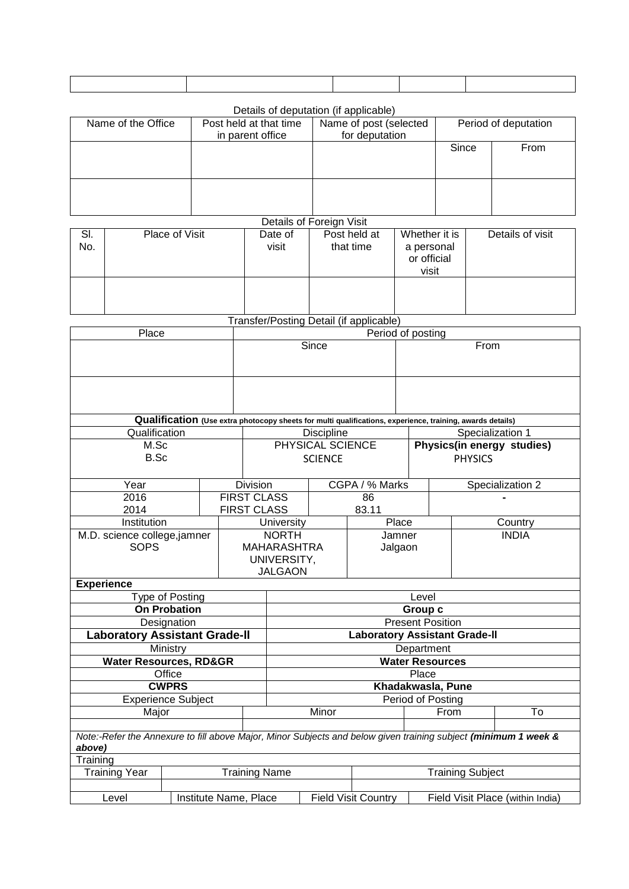Details of deputation (if applicable)

| Name of the Office | Post held at that time<br>in parent office | Name of post (selected<br>for deputation | Period of deputation |      |  |
|--------------------|--------------------------------------------|------------------------------------------|----------------------|------|--|
|                    |                                            |                                          | Since                | From |  |
|                    |                                            |                                          |                      |      |  |

Details of Foreign Visit

| SI.<br>No. | Place of Visit | Date of<br>visit | Post held at<br>that time | Whether it is<br>a personal<br>or official<br>visit | Details of visit |
|------------|----------------|------------------|---------------------------|-----------------------------------------------------|------------------|
|            |                |                  |                           |                                                     |                  |

Transfer/Posting Detail (if applicable)

| Place                                                                                                                     |                       | Period of posting          |                                                                     |                                                                                                           |                   |                         |                                              |                  |  |  |  |
|---------------------------------------------------------------------------------------------------------------------------|-----------------------|----------------------------|---------------------------------------------------------------------|-----------------------------------------------------------------------------------------------------------|-------------------|-------------------------|----------------------------------------------|------------------|--|--|--|
|                                                                                                                           |                       | Since                      |                                                                     |                                                                                                           | From              |                         |                                              |                  |  |  |  |
|                                                                                                                           |                       |                            |                                                                     |                                                                                                           |                   |                         |                                              |                  |  |  |  |
|                                                                                                                           |                       |                            |                                                                     | Qualification (Use extra photocopy sheets for multi qualifications, experience, training, awards details) |                   |                         |                                              |                  |  |  |  |
| Qualification                                                                                                             |                       |                            |                                                                     | <b>Discipline</b>                                                                                         |                   |                         | Specialization 1                             |                  |  |  |  |
| M.Sc<br>B.Sc                                                                                                              |                       |                            |                                                                     | PHYSICAL SCIENCE<br><b>SCIENCE</b>                                                                        |                   |                         | Physics(in energy studies)<br><b>PHYSICS</b> |                  |  |  |  |
| Year                                                                                                                      |                       |                            | <b>Division</b>                                                     |                                                                                                           | CGPA / % Marks    |                         |                                              | Specialization 2 |  |  |  |
| 2016<br>2014                                                                                                              |                       |                            | <b>FIRST CLASS</b><br>86<br><b>FIRST CLASS</b><br>83.11             |                                                                                                           |                   |                         |                                              |                  |  |  |  |
| Institution                                                                                                               |                       |                            |                                                                     | University                                                                                                | Place             |                         | Country                                      |                  |  |  |  |
| M.D. science college,jamner<br><b>SOPS</b>                                                                                |                       |                            | <b>NORTH</b><br><b>MAHARASHTRA</b><br>UNIVERSITY,<br><b>JALGAON</b> |                                                                                                           | Jamner<br>Jalgaon |                         |                                              | <b>INDIA</b>     |  |  |  |
| <b>Experience</b>                                                                                                         |                       |                            |                                                                     |                                                                                                           |                   |                         |                                              |                  |  |  |  |
| Type of Posting                                                                                                           |                       |                            |                                                                     | Level                                                                                                     |                   |                         |                                              |                  |  |  |  |
| <b>On Probation</b>                                                                                                       |                       |                            |                                                                     | Group c                                                                                                   |                   |                         |                                              |                  |  |  |  |
| Designation                                                                                                               |                       |                            |                                                                     | <b>Present Position</b>                                                                                   |                   |                         |                                              |                  |  |  |  |
| <b>Laboratory Assistant Grade-II</b>                                                                                      |                       |                            |                                                                     | Laboratory Assistant Grade-II                                                                             |                   |                         |                                              |                  |  |  |  |
| Ministry                                                                                                                  |                       |                            |                                                                     | Department                                                                                                |                   |                         |                                              |                  |  |  |  |
| <b>Water Resources, RD&amp;GR</b>                                                                                         |                       |                            |                                                                     | <b>Water Resources</b>                                                                                    |                   |                         |                                              |                  |  |  |  |
| Office                                                                                                                    |                       |                            |                                                                     | Place                                                                                                     |                   |                         |                                              |                  |  |  |  |
| <b>CWPRS</b>                                                                                                              |                       |                            |                                                                     | Khadakwasla, Pune                                                                                         |                   |                         |                                              |                  |  |  |  |
| <b>Experience Subject</b>                                                                                                 |                       |                            |                                                                     |                                                                                                           |                   | Period of Posting       |                                              |                  |  |  |  |
| Major                                                                                                                     |                       |                            |                                                                     | Minor                                                                                                     |                   |                         | To<br>From                                   |                  |  |  |  |
| Note:-Refer the Annexure to fill above Major, Minor Subjects and below given training subject (minimum 1 week &<br>above) |                       |                            |                                                                     |                                                                                                           |                   |                         |                                              |                  |  |  |  |
| Training                                                                                                                  |                       |                            |                                                                     |                                                                                                           |                   |                         |                                              |                  |  |  |  |
| <b>Training Year</b>                                                                                                      |                       |                            | <b>Training Name</b>                                                |                                                                                                           |                   | <b>Training Subject</b> |                                              |                  |  |  |  |
| Level                                                                                                                     | Institute Name, Place | <b>Field Visit Country</b> |                                                                     | Field Visit Place (within India)                                                                          |                   |                         |                                              |                  |  |  |  |